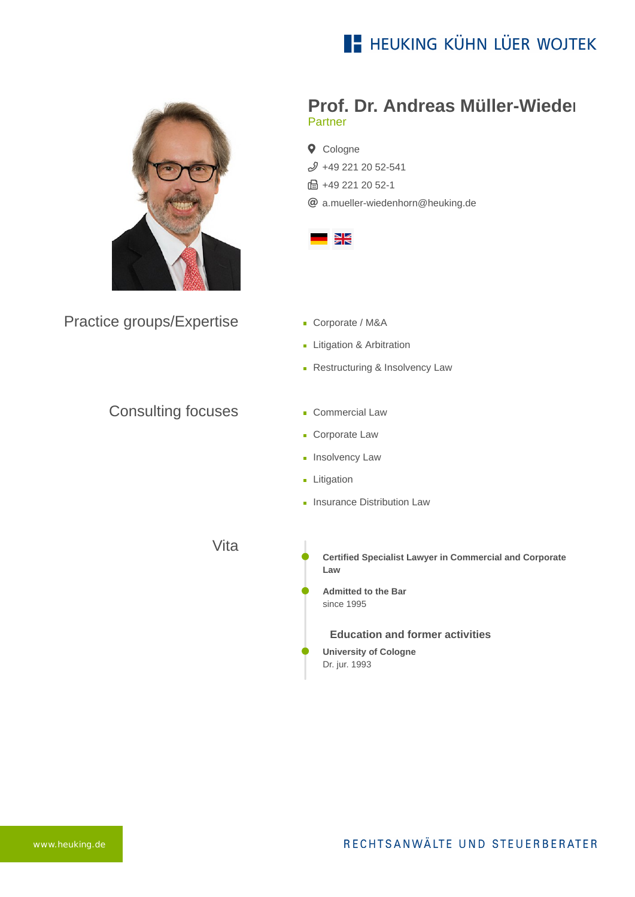



Practice groups/Expertise

## Consulting focuses

## **Prof. Dr. Andreas Müller-Wieden** Partner

**Q** Cologne  $$49$  221 20 52-541 **品+49 221 20 52-1** [a.mueller-wiedenhorn@heuking.de](mailto:a.mueller-wiedenhorn@heuking.de?subject=Contact%20via%20website%20heuking.de)



- Corporate / M&A
- **Litigation & Arbitration**
- **Restructuring & Insolvency Law**
- **Commercial Law**
- **Corporate Law**
- **Insolvency Law**
- **Litigation**
- **Insurance Distribution Law**

Vita

**Certified Specialist Lawyer in Commercial and Corporate Law**

**Admitted to the Bar** since 1995

**Education and former activities**

**University of Cologne** Dr. jur. 1993